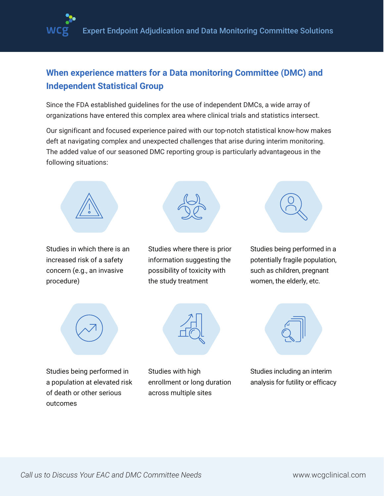

## **When experience matters for a Data monitoring Committee (DMC) and Independent Statistical Group**

Since the FDA established guidelines for the use of independent DMCs, a wide array of organizations have entered this complex area where clinical trials and statistics intersect.

Our significant and focused experience paired with our top-notch statistical know-how makes deft at navigating complex and unexpected challenges that arise during interim monitoring. The added value of our seasoned DMC reporting group is particularly advantageous in the following situations:



Studies in which there is an increased risk of a safety concern (e.g., an invasive procedure)



Studies where there is prior information suggesting the possibility of toxicity with the study treatment



Studies being performed in a potentially fragile population, such as children, pregnant women, the elderly, etc.





Studies being performed in a population at elevated risk of death or other serious outcomes

Studies with high enrollment or long duration across multiple sites



Studies including an interim analysis for futility or efficacy